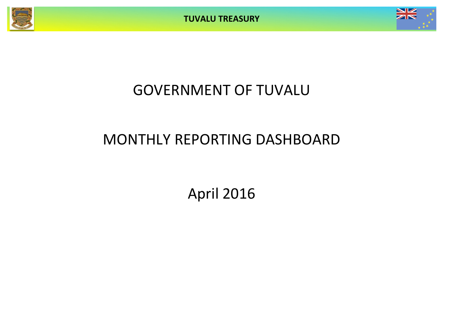**TUVALU TREASURY**



# GOVERNMENT OF TUVALU

# MONTHLY REPORTING DASHBOARD

April 2016

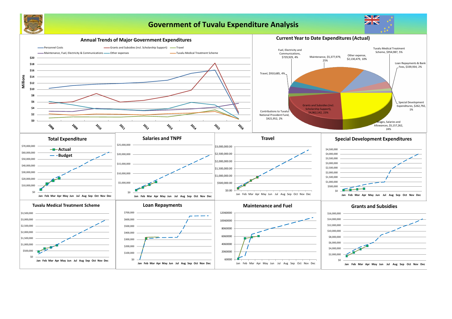

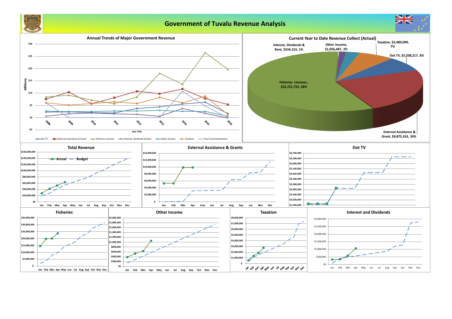

## **Government of Tuvalu Revenue Analysis**

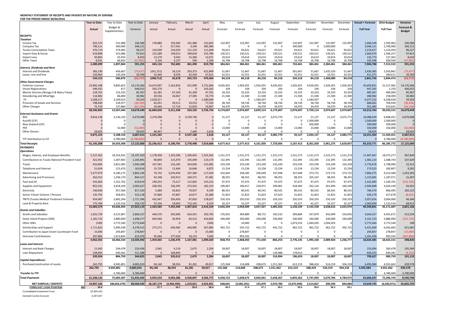### **MONTHLY STATEMENT OF RECEIPTS AND PAYENTS BY NATURE OF EXPENSE**

**FOR THE PERIOD ENDED 30/04/2016**

|                                                 | <b>Year to Date</b>  | Year to Date         | Year to Date        | January             | February           | March         | April               | May                | June             | July                | August             | September          | October              | November         | December         | <b>Actual + Forecast</b> | 2016 Budget          | Variance            |
|-------------------------------------------------|----------------------|----------------------|---------------------|---------------------|--------------------|---------------|---------------------|--------------------|------------------|---------------------|--------------------|--------------------|----------------------|------------------|------------------|--------------------------|----------------------|---------------------|
|                                                 | Actual               | Budget &             | Variance            | Actual              | Actual             | Actual        | Actual              | Forecast           | Forecast         | Forecast            | Forecast           | Forecast           | Forecast             | Forecast         | Forecast         | <b>Full Year</b>         | <b>Full Year</b>     | Forecast &          |
|                                                 |                      | Supplementary        |                     |                     |                    |               |                     |                    |                  |                     |                    |                    |                      |                  |                  |                          |                      | <b>Budget</b>       |
| <b>RECEIPTS</b><br><b>Taxation</b>              |                      |                      |                     |                     |                    |               |                     |                    |                  |                     |                    |                    |                      |                  |                  |                          |                      |                     |
| Income Tax                                      | 632,574              | 531,988              | 100,586             | 178,880             | 159,383            | 141,486       | 152,825             | 132,997            | 132,997          | 132,997             | 132,997            | 132,997            | 132,997              | 132,997          | 132,997          | 1,696,549                | 1,595,963            | 100,586             |
| Company Tax                                     | 706,121              | 360,000              | 346,121             |                     | 317,561            | 3,194         | 385,366             | - 0                | 0                | 0                   | - 0                | 340,000            | $\Omega$             | 2,000,000        |                  | 3,046,121                | 2,700,000            | 346,121             |
| <b>Tuvalu Consumption Taxes</b>                 | 470,710              | 374,483              | 96,227              | 124,500             | 124,029            | 111,132       | 111,049             | 93,621             | 93,621           | 93,621              | 93,621             | 93,621             | 93,621               | 93,621           | 93,621           | 1,219,677                | 1,123,450            | 96,227              |
| Import Duty & Excise                            | 619,898              | 522,086              | 97,813              | 125,289             | 149,012            | 189,818       | 155,780             | 130,521            | 130,521          | 130,521             | 130,521            | 130,521            | 130,521              | 130,521          | 130,521          | 1,664,070                | 1,566,257            | 97,813              |
| Import Levy<br><b>Other Taxes</b>               | 50,865<br>8,931      | 42,454<br>66,833     | 8,410<br>(57, 902)  | 13,270<br>3,194     | 9,563<br>3,137     | 15,360<br>500 | 12,671<br>2,100     | 10,614<br>16,708   | 10,614<br>16,708 | 10,614<br>16,708    | 10,614<br>16,708   | 10,614<br>16,708   | 10,614<br>16,708     | 10,614<br>16,708 | 10,614<br>16,708 | 135,773<br>142,598       | 127,363<br>200,500   | 8,410<br>(57, 902)  |
|                                                 | 2,489,099            | 1,897,844            | 591,255             | 445,134             | 762,685            | 461,490       | 819,790             | 384,461            | 384,461          | 384,461             | 384,461            | 724,461            | 384,461              | 2,384,461        | 384,461          | 7,904,788                | 7,313,533            | 591,255             |
| <b>Interest, Dividends and Rent</b>             |                      |                      |                     |                     |                    |               |                     |                    |                  |                     |                    |                    |                      |                  |                  |                          |                      |                     |
| <b>Interest and Dividends</b>                   | 383,190              | 456,667              | (73, 477)           | (261, 151)          | 18,119             | 203,373       | 422,849             | 51,667             | 51,667           | 51,667              | 51,667             | 301,667            | 51,667               | 1,435,529        | 51,667           | 2,430,385                | 2,503,862            | (73, 477)           |
| Lease, rent and hire                            | 150,964              | 130,204              | 20,760              | 52,440              | 8,559              | 42,350        | 47,615              | 32,551             | 32,551           | 32,551              | 32,551             | 32,551             | 32,551               | 32,551           | 32,551           | 411,371                  | 390,611              | 20,760              |
| Other Government Charges                        | 534,153              | 586,870              | (52, 717)           | (208, 712)          | 26,678             | 245,723       | 470,464             | 84,218             | 84,218           | 84,218              | 84,218             | 334,218            | 84,218               | 1,468,080        | 84,218           | 2,841,756                | 2,894,473            | (52, 717)           |
| <b>Fisheries Licenses</b>                       | 23,982,188           | 9,805,822            | 14,176,366          | 14,674,907          | 5,162,816          | 421,999       | 3,722,466           | 4,026,455          | 1,926,455        | 1,926,455           | 4,026,455          | 1,926,455          | 4,026,455            | 1,926,455        | 1,926,455        | 45,693,831               | 31,517,465           | 14,176,366          |
| <b>Vessel Registrations</b>                     | 446,432              | 417                  | 446,015             | 203,170             |                    |               | 243,262             | 104                | 104              | 104                 | 104                | 104                | 104                  | 104              | 104              | 447,265                  | 1,250                | 446,015             |
| Marine Services (Nivaga II & Manu Folau)        | 218,701              | 133,333              | 85,367              | 62,281              | 67,320             | 41,309        | 47,791              | 33,333             | 33,333           | 33,333              | 33,333             | 33,333             | 33,333               | 33,333           | 33,333           | 485,367                  | 400,000              | 85,367              |
| Stevedoring and Wharfage                        | 116,982              | 86,000               | 30,982              | 29,556              | 24,067             | 27,585        | 35,774              | 21,500             | 21,500           | 21,500              | 21,500             | 21,500             | 21,500               | 21,500<br>- 0    | 21,500           | 288,982                  | 258,000              | 30,982              |
| .TV<br>Provision of Goods and Services          | 3,208,217<br>198,649 | 3,169,014<br>234,977 | 39,203<br>(36, 328) | 1,628,217<br>62,051 | 0<br>39,511        | 19,553        | 1,580,000<br>77,533 | - 0<br>58,744      | 58,744           | .,584,507<br>58,744 | - 0<br>58,744      | $\Omega$<br>58,744 | 1,584,507<br>58,744  | 58,744           | 58,744           | 6,377,232<br>668,602     | 6,338,028<br>704,930 | 39,203<br>(36, 328) |
| <b>Other Charges</b>                            | 75,724               | 137,880              | (62, 156)           | 24,444              | 17,714             | 13,659        | 19,907              | 34,470             | 34,470           | 34,470              | 34,470             | 34,470             | 34,470               | 34,470           | 34,470           | 351,485                  | 413,641              | (62, 156)           |
|                                                 | 28,246,893           | 13,567,444           | 14,679,449          | 16,684,626          | 5,311,428          | 524,105       | 5,726,734           | 4,174,607          | 2,074,607        | 3,659,114           | 4,174,607          | 2,074,607          | 5,759,114            | 2,074,607        | 2,074,607        | 54,312,764               | 39,633,315           | 14,679,449          |
| <b>External Assistance and Grants</b>           |                      |                      |                     |                     |                    |               |                     |                    |                  |                     |                    |                    |                      |                  |                  |                          |                      |                     |
| <b>ROC</b>                                      | 9,816,138            | 3,136,150            | 6,679,988           | 5,276,398           |                    | 4,539,740     |                     | 21,127             | 21,127           | 21,127              | 3,072,770          | 21,127             | 21,127               | 21,127           | 3,072,771        | 16,088,439               | 9,408,451            | 6,679,988           |
| AusAID (CIF)<br>New Zealand (CIF)               |                      |                      |                     |                     |                    |               |                     | - 0<br>- 0         |                  | 0<br>$\Omega$       | - 0<br>- 0         | 0<br>0             | 1,500,000<br>500,000 | - 0              |                  | 1,500,000<br>500,000     | 1,500,000<br>500,000 |                     |
| <b>PDF</b>                                      |                      | 52,000               | (52,000)            |                     |                    |               |                     | 13,000             | 13,000           | 13,000              | 13,000             | 13,000             | 13,000               | 13,000           | 13,000           | 104,000                  | 156,000              | (52,000)            |
| <b>Other Donors</b>                             | 59,025               |                      | 59,025              | 48,967              |                    | 7,440         | 2,618               | - 0                |                  | $\Omega$            | - 0                | $\Omega$           | $\Omega$             |                  |                  | 59,025                   |                      | 59,025              |
|                                                 | 9,875,163            | 3,188,150            | 6,687,013           | 5,325,365           | $\mathbf{0}$       | 4,547,180     | 2,618               | 34,127             | 34,127           | 34,127              | 3,085,770          | 34,127             | 2,034,127            | 34,127           | 3,085,771        | 18,251,464               | 11,564,451           | 6,687,013           |
| <b>TTF Distribution to CIF</b>                  | $\cap$               | 4,780,000            | (4,780,000)         |                     |                    |               |                     | $\Omega$           | U                | $\Omega$            | - 0                | $\Omega$           | $\Omega$             |                  |                  |                          | 4,780,000            | (4,780,000)         |
| <b>Total Receipts</b>                           | 41,145,308           | 24,020,308           | 17,125,000          | 22,246,413          | 6,100,791          | 5,778,498     | 7,019,606           | 4,677,413          | 2,577,413        | 4,161,920           | 7,729,056          | 3,167,413          | 8,261,920            | 5,961,275        | 5,629,057        | 83,310,771               | 66,185,772           | 17,125,000          |
| <b>PAYMENTS</b>                                 |                      |                      |                     |                     |                    |               |                     |                    |                  |                     |                    |                    |                      |                  |                  |                          |                      |                     |
| <b>Operations</b>                               |                      |                      |                     |                     |                    |               |                     |                    |                  |                     |                    |                    |                      |                  |                  |                          |                      |                     |
| Wages, Salaries, and Employee Benefits          | 5,157,262            | 18,354,591           | 13,197,329          | 1,178,358           | 1,333,296          | 1,290,045     | 1,355,563           | 1,531,273          | 1,531,273        | 1,531,273           | 1,531,273          | 1,531,273          | 1,531,273            | 1,531,273        | 1,531,273        | 17,407,447               | 18,375,277           | 967,830             |
| Contributions to Tuvalu National Provident Fund | 421,952              | 1,587,843            | 1,165,891           | 90,840              | 115,470            | 105,469       | 110,174             | 132,395            | 132,395          | 132,395             | 132,395            | 132,395            | 132,395              | 132,395          | 132,395          | 1,481,114                | 1,588,743            | 107,629             |
| Travel                                          | 910,685              | 2,851,083            | 1,940,398           | 147,581             | 216,185            | 324,836       | 222,082             | 233,249            | 233,249          | 233,249             | 233,249            | 233,249            | 233,249              | 233,249          | 233,249          | 2,776,678                | 2,798,990            | 22,312              |
| Telephone and Internet                          | 51,654               | 215,470              | 163,816             | 15,729              | 12,404             | 16,646        | 6,875               | 15,234             | 15,234           | 15,234              | 15,234             | 15,234             | 15,234               | 15,234           | 15,234           | 173,525                  | 182,807              | 9,282               |
| Maintenance                                     | 5,377,979            | 9,180,175            | 3,802,196           | 76,732              | 5,076,459          | 107,360       | 117,429             | 332,820            | 358,185          | 296,049             | 337,048            | 337,048            | 273,715              | 273,715          | 273,715          | 7,860,275                | 9,313,580            | 1,453,305           |
| <b>Advertising and Provisions</b>               | 362,013              | 1,206,170            | 844,157             | 42,248              | 102,913            | 169,371       | 47,481              | 98,355             | 98,355           | 98,355              | 98,355             | 98,355             | 105,167              | 98,355           | 98,355           | 1,155,665                | 1,187,071            | 31,407              |
| Fuel and Oil                                    | 542,683              | 1,161,702            | 619,019             | 199,253             | 73,217             | 115,002       | 155,212             | 97,475             | 97,475           | 97,475              | 97,475             | 97,475             | 97,475               | 97,475           | 97,475           | 1,322,483                | 1,169,701            | (152, 783)          |
| Supplies and Equipment                          | 852,541              | 3,818,169            | 2,965,627           | 240,592             | 156,295            | 273,501       | 182,153             | 190,667            | 196,917          | 228,971             | 209,901            | 418,384            | 332,124              | 261,994          | 249,349          | 2,940,848                | 3,034,149            | 93,301              |
| Electricity                                     | 140,040              | 957,560              | 817,520             | 5,089               | 45,825             | 79,927        | 9,199               | 80,541             | 80,541           | 80,541              | 80,541             | 80,541             | 80,541               | 80,541           | 80,541           | 784,370                  | 966,495              | 182,125             |
| Senior Citizen Scheme / Pension                 | 135,793              | 458,921              | 323,128             | 37,860              | 47,867             | 24,677        | 25,389              | 31,823             | 31,823           | 31,823              | 67,623             | 31,823             | 31,823               | 31,823           | 31,823           | 426,179                  | 417,678              | (8,501)             |
| <b>TMTS (Tuvalu Medical Treatment Scheme)</b>   | 954,987              | 2,682,294            | 1,727,306           | 432,047             | 256,450            | 87,833        | 178,657             | 250,333            | 250,333          | 250,333             | 250,333            | 250,333            | 250,333              | 250,333          | 250,333          | 2,957,654                | 3,004,000            | 46,346              |
| Land & Property Rent                            | 775,784              | 1,132,516            | 356,732             | 37,256              | 19,063             | 713,145       | 6,319               | 32,227             | 32,227           | 32,227              | 32,227             | 32,227             | 62,227               | 32,227           | 32,227           | 1,063,604                | 1,132,516            | 68,912              |
|                                                 | 15,683,374           | 43,606,493           | 27,923,119          | 2,503,585           | 7,455,444          | 3,307,810     | 2,416,534           | 3,026,394          | 3,058,009        | 3,027,927           | 3,085,656          | 3,258,339          | 3,145,558            | 3,038,616        | 3,025,970        | 40,349,841               | 43,171,007           | 2,821,166           |
| <b>Grants and Subsidies</b>                     |                      |                      |                     |                     |                    |               |                     |                    |                  |                     |                    |                    |                      |                  |                  |                          |                      |                     |
| <b>Grants and Subsidies</b>                     | 1,655,729            | 4,515,967            | 2,860,237           | 446,570             | 292,006            | 624,451       | 292,703             | 176,032            | 394,889          | 88,712              | 183,532            | 399,889            | 247,879              | 342,699          | 554,055          | 4,043,417                | 4,455,671            | 412,254             |
| Outer Island Projects (SDE)                     | 1,181,723            | 2,880,000            | 1,698,277           | 644,560             | 36,959             | 83,512        | 416,692             | 240,000            | 240,000          | 240,000             | 240,000            | 240,000            | 240,000              | 240,000          | 240,000          | 3,101,723                | 2,880,000            | (221, 723)          |
| Other SDEs                                      | (100)                | 3,772,540            | 3,772,640           |                     |                    |               | (100)               | - 0                | 10,000           | 0                   |                    | 1,673,533          | 1,044,503            | 1,044,503        |                  | 3,772,440                | 3,772,540            | 100                 |
| Scholarships and Support                        | 1,711,823            | 5,990,338            | 4,278,515           | 273,271             | 630,482            | 440,985       | 367,085             | 442,722            | 550,722          | 442,722             | 442,722            | 462,722            | 462,722              | 462,722          | 442,722          | 5,421,600                | 6,042,665            | 621,065             |
| Contribution to Japan Grant Counterpart Fund    | 15,000               | 293,847              | 278,847             |                     |                    |               | 15,000              |                    | 278,847          | 0                   | - 0                |                    | $\Omega$             |                  |                  | 293,847                  | 278,847              | (15,000)            |
| <b>Overseas Contributions</b>                   | 397,866              | 1,013,842            | 615,976             | 95,064              | 277,029            | 18,133        | 7,640               |                    | 993,592          | $\Omega$            |                    |                    |                      |                  |                  | 1,391,458                | 993,592              | (397, 866)          |
|                                                 | 4,962,042            | 18,466,534           | 13,504,492          | 1,459,465           | 1,236,476          | 1,167,081     | 1,099,020           | 858,754            | 2,468,050        | 771,434             | 866,254            | 2,776,145          | 1,995,104            | 2,089,924        | 1,236,777        | 18,024,485               | 18,423,315           | 398,830             |
| Loans and Interest                              |                      |                      |                     |                     |                    |               |                     |                    |                  |                     |                    |                    |                      |                  |                  |                          |                      |                     |
| <b>Interest and Bank Charges</b>                | 11,042               | 244,478              | 233,436             | 2,045               | 4,119              | 2,675         | 2,204               | 18,007             | 18,007           | 18,007              | 18,007             | 18,007             | 18,007               | 18,007           | 18,007           | 155,094                  | 260,478              | 105,384             |
| Loan Repayment                                  | 328,893              | 640,281<br>884,759   | 311,388<br>544,825  | 2,045               | 328,893<br>333,012 | 2,675         | 2,204               | $\Omega$<br>18,007 | 18,007           | 0<br>18,007         | 136,988<br>154,994 | 178,653<br>196,659 | $\Omega$<br>18,007   | - 0<br>18,007    | 18,007           | 644,533<br>799,627       | 640,281              | (4, 252)<br>101,132 |
| <b>Capital Expenditures</b>                     | 339,934              |                      |                     |                     |                    |               |                     |                    |                  |                     |                    |                    |                      |                  |                  |                          | 900,759              |                     |
| Purchase/construction of assets                 | 262,792              | 4,945,801            | 4,683,010           | 94.140              | 38.354             | 81,281        | 49.017              | 125,568            | 114,608          | 208,673             | 1,551,362          | 612,219            | 588,424              | 524,219          | 504,218          | 4,492,084                | 4,931,662            | 439,578             |
|                                                 | 262,792              | 4,945,801            | 4,683,010           | 94,140              | 38,354             | 81,281        | 49,017              | 125,568            | 114,608          | 208,673             | 1,551,362          | 612,219            | 588,424              | 524,219          | 504,218          | 4,492,084                | 4,931,662            | 439,578             |
| <b>Transfer to TTF</b>                          |                      | 4,780,000            | 4,780,00            |                     |                    |               |                     |                    |                  |                     | $\Omega$           |                    |                      |                  |                  |                          | 4,780,000            | 4,780,000           |
|                                                 |                      |                      |                     |                     |                    |               |                     |                    |                  |                     |                    |                    |                      |                  |                  |                          |                      |                     |
| <b>Total Payments</b>                           | 21,248,142           | 72,683,587           | 51,435,44           | 4,059,234           | 9,063,286          | 4,558,847     | 3,566,775           | 4,028,722          | 5,658,673        | 4,026,041           | 5,658,267          | 6,843,362          | 5,747,093            | 5,670,766        | 4,784,972        | 63,666,037               | 72,206,743           | 8,540,706           |
| NET SURPLUS / (DEFICIT)                         | 19,897,166           | (48, 663, 279)       | 68,560,445          | 18,187,179          | (2,962,495)        | 1,219,651     | 3,452,831           | 648,691            | (3,081,261)      | 135,879             | 2,070,789          | (3,675,949)        | 2,514,827            | 290,509          | 844,084          | 19,644,735               | (6,020,971)          | 25,665,705          |
| <u>\$М</u><br><b>FORECAST CASH POSITION</b>     | 39.4                 |                      |                     | 37.7                | 34.7               | 35.9          | 39.4                | 40.0               | 37.0             | 37.1                | 39.2               | 35.5               | 38.0                 | 38.3             | 39.1             |                          |                      |                     |
| <b>Consolidated Investment Fund</b>             | 32,995,433           |                      |                     |                     |                    |               |                     |                    |                  |                     |                    |                    |                      |                  |                  |                          |                      |                     |
| <b>General Current Account</b>                  | 6,397,067            |                      |                     |                     |                    |               |                     |                    |                  |                     |                    |                    |                      |                  |                  |                          |                      |                     |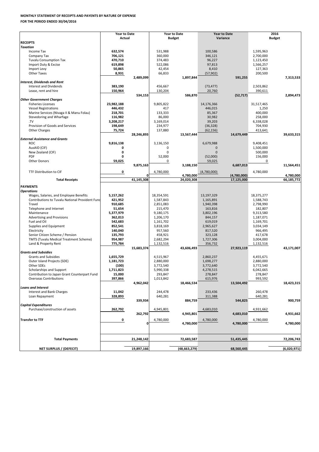| <b>Total Payments</b>          | 21,248,142 | 72,683,587     | 51,435,445 | 72,206,743  |
|--------------------------------|------------|----------------|------------|-------------|
|                                |            |                |            |             |
| <b>NET SURPLUS / (DEFECIT)</b> | 19,897,166 | (48, 663, 279) | 68,560,445 | (6,020,971) |

|                                                        | <b>Year to Date</b> |              |            | <b>Year to Date</b> |             | <b>Year to Date</b> | 2016          |            |  |
|--------------------------------------------------------|---------------------|--------------|------------|---------------------|-------------|---------------------|---------------|------------|--|
|                                                        | <b>Actual</b>       |              |            | <b>Budget</b>       |             | Variance            | <b>Budget</b> |            |  |
| <b>RECEIPTS</b>                                        |                     |              |            |                     |             |                     |               |            |  |
| <b>Taxation</b>                                        |                     |              |            |                     |             |                     |               |            |  |
| <b>Income Tax</b>                                      | 632,574             |              | 531,988    |                     | 100,586     |                     | 1,595,963     |            |  |
| Company Tax                                            | 706,121             |              | 360,000    |                     | 346,121     |                     | 2,700,000     |            |  |
| <b>Tuvalu Consumption Tax</b>                          | 470,710             |              | 374,483    |                     | 96,227      |                     | 1,123,450     |            |  |
| Import Duty & Excise                                   | 619,898             |              | 522,086    |                     | 97,813      |                     | 1,566,257     |            |  |
|                                                        |                     |              |            |                     |             |                     |               |            |  |
| Import Levy                                            | 50,865              |              | 42,454     |                     | 8,410       |                     | 127,363       |            |  |
| <b>Other Taxes</b>                                     | 8,931               |              | 66,833     |                     | (57, 902)   |                     | 200,500       |            |  |
|                                                        |                     | 2,489,099    |            | 1,897,844           |             | 591,255             |               | 7,313,533  |  |
| Interest, Dividends and Rent                           |                     |              |            |                     |             |                     |               |            |  |
| Interest and Dividends                                 | 383,190             |              | 456,667    |                     | (73, 477)   |                     | 2,503,862     |            |  |
| Lease, rent and hire                                   | 150,964             |              | 130,204    |                     | 20,760      |                     | 390,611       |            |  |
|                                                        |                     | 534,153      |            | 586,870             |             | (52, 717)           |               | 2,894,473  |  |
| <b>Other Government Charges</b>                        |                     |              |            |                     |             |                     |               |            |  |
| <b>Fisheries Licenses</b>                              | 23,982,188          |              | 9,805,822  |                     | 14,176,366  |                     | 31,517,465    |            |  |
| <b>Vessel Registrations</b>                            | 446,432             |              | 417        |                     | 446,015     |                     | 1,250         |            |  |
| Marine Services (Nivaga II & Manu Folau)               | 218,701             |              | 133,333    |                     | 85,367      |                     | 400,000       |            |  |
| Stevedoring and Wharfage                               | 116,982             |              | 86,000     |                     | 30,982      |                     | 258,000       |            |  |
| TV                                                     | 3,208,217           |              | 3,169,014  |                     | 39,203      |                     | 6,338,028     |            |  |
| Provision of Goods and Services                        | 198,649             |              | 234,977    |                     |             |                     | 704,930       |            |  |
|                                                        |                     |              |            |                     | (36, 328)   |                     |               |            |  |
| <b>Other Charges</b>                                   | 75,724              |              | 137,880    |                     | (62, 156)   |                     | 413,641       |            |  |
|                                                        |                     | 28,246,893   |            | 13,567,444          |             | 14,679,449          |               | 39,633,315 |  |
| <b>External Assistance and Grants</b>                  |                     |              |            |                     |             |                     |               |            |  |
| <b>ROC</b>                                             | 9,816,138           |              | 3,136,150  |                     | 6,679,988   |                     | 9,408,451     |            |  |
| AusAID (CIF)                                           |                     |              |            |                     | 0           |                     | 1,500,000     |            |  |
| New Zealand (CIF)                                      |                     |              | $\Omega$   |                     | $\Omega$    |                     | 500,000       |            |  |
| <b>PDF</b>                                             |                     |              | 52,000     |                     | (52,000)    |                     | 156,000       |            |  |
| Other Donors                                           | 59,025              |              | 0          |                     | 59,025      |                     | 0             |            |  |
|                                                        |                     | 9,875,163    |            | 3,188,150           |             | 6,687,013           |               | 11,564,451 |  |
|                                                        |                     |              |            |                     |             |                     |               |            |  |
| TTF Distribution to CIF                                | 0                   |              | 4,780,000  |                     | (4,780,000) |                     | 4,780,000     |            |  |
|                                                        |                     |              |            | 4,780,000           |             | (4,780,000)         |               | 4,780,000  |  |
| <b>Total Receipts</b>                                  |                     | 41,145,308   |            | 24,020,308          |             | 17,125,000          |               | 66,185,772 |  |
| <b>PAYMENTS</b>                                        |                     |              |            |                     |             |                     |               |            |  |
| <b>Operations</b>                                      |                     |              |            |                     |             |                     |               |            |  |
| Wages, Salaries, and Employee Benefits                 |                     |              | 18,354,591 |                     | 13,197,329  |                     | 18,375,277    |            |  |
|                                                        | 5,157,262           |              |            |                     |             |                     |               |            |  |
| <b>Contributions to Tuvalu National Provident Fund</b> | 421,952             |              | 1,587,843  |                     | 1,165,891   |                     | 1,588,743     |            |  |
| Travel                                                 | 910,685             |              | 2,851,083  |                     | 1,940,398   |                     | 2,798,990     |            |  |
| Telephone and Internet                                 | 51,654              |              | 215,470    |                     | 163,816     |                     | 182,807       |            |  |
| Maintenance                                            | 5,377,979           |              | 9,180,175  |                     | 3,802,196   |                     | 9,313,580     |            |  |
| Advertising and Provisions                             | 362,013             |              | 1,206,170  |                     | 844,157     |                     | 1,187,071     |            |  |
| Fuel and Oil                                           | 542,683             |              | 1,161,702  |                     | 619,019     |                     | 1,169,701     |            |  |
| Supplies and Equipment                                 | 852,541             |              | 3,818,169  |                     | 2,965,627   |                     | 3,034,149     |            |  |
| Electricity                                            | 140,040             |              | 957,560    |                     | 817,520     |                     | 966,495       |            |  |
| Senior Citizen Scheme / Pension                        | 135,793             |              | 458,921    |                     | 323,128     |                     | 417,678       |            |  |
| <b>TMTS (Tuvalu Medical Treatment Scheme)</b>          | 954,987             |              | 2,682,294  |                     | 1,727,306   |                     | 3,004,000     |            |  |
| Land & Property Rent                                   | 775,784             |              | 1,132,516  |                     | 356,732     |                     | 1,132,516     |            |  |
|                                                        |                     | 15,683,374   |            | 43,606,493          |             | 27,923,119          |               | 43,171,007 |  |
| <b>Grants and Subsidies</b>                            |                     |              |            |                     |             |                     |               |            |  |
| <b>Grants and Subsidies</b>                            | 1,655,729           |              | 4,515,967  |                     | 2,860,237   |                     | 4,455,671     |            |  |
|                                                        |                     |              |            |                     |             |                     |               |            |  |
| Outer Island Projects (SDE)                            | 1,181,723           |              | 2,880,000  |                     | 1,698,277   |                     | 2,880,000     |            |  |
| Other SDEs                                             | (100)               |              | 3,772,540  |                     | 3,772,640   |                     | 3,772,540     |            |  |
| Scholarships and Support                               | 1,711,823           |              | 5,990,338  |                     | 4,278,515   |                     | 6,042,665     |            |  |
| Contribution to Japan Grant Counterpart Fund           | 15,000              |              | 293,847    |                     | 278,847     |                     | 278,847       |            |  |
| <b>Overseas Contributions</b>                          | 397,866             |              | 1,013,842  |                     | 615,976     |                     | 993,592       |            |  |
|                                                        |                     | 4,962,042    |            | 18,466,534          |             | 13,504,492          |               | 18,423,315 |  |
| Loans and Interest                                     |                     |              |            |                     |             |                     |               |            |  |
| Interest and Bank Charges                              | 11,042              |              | 244,478    |                     | 233,436     |                     | 260,478       |            |  |
| Loan Repayment                                         | 328,893             |              | 640,281    |                     | 311,388     |                     | 640,281       |            |  |
|                                                        |                     | 339,934      |            | 884,759             |             | 544,825             |               | 900,759    |  |
| <b>Capital Expenditures</b>                            |                     |              |            |                     |             |                     |               |            |  |
| Purchase/construction of assets                        | 262,792             |              | 4,945,801  |                     | 4,683,010   |                     | 4,931,662     |            |  |
|                                                        |                     |              |            |                     |             |                     |               |            |  |
|                                                        |                     | 262,792      |            | 4,945,801           |             | 4,683,010           |               | 4,931,662  |  |
| <b>Transfer to TTF</b>                                 | 0                   |              | 4,780,000  |                     | 4,780,000   |                     | 4,780,000     |            |  |
|                                                        |                     | $\mathbf{0}$ |            | 4,780,000           |             | 4,780,000           |               | 4,780,000  |  |
|                                                        |                     |              |            |                     |             |                     |               |            |  |

## **MONTHLY STATEMENT OF RECEIPTS AND PAYENTS BY NATURE OF EXPENSE**

**FOR THE PERIOD ENDED 30/04/2016**